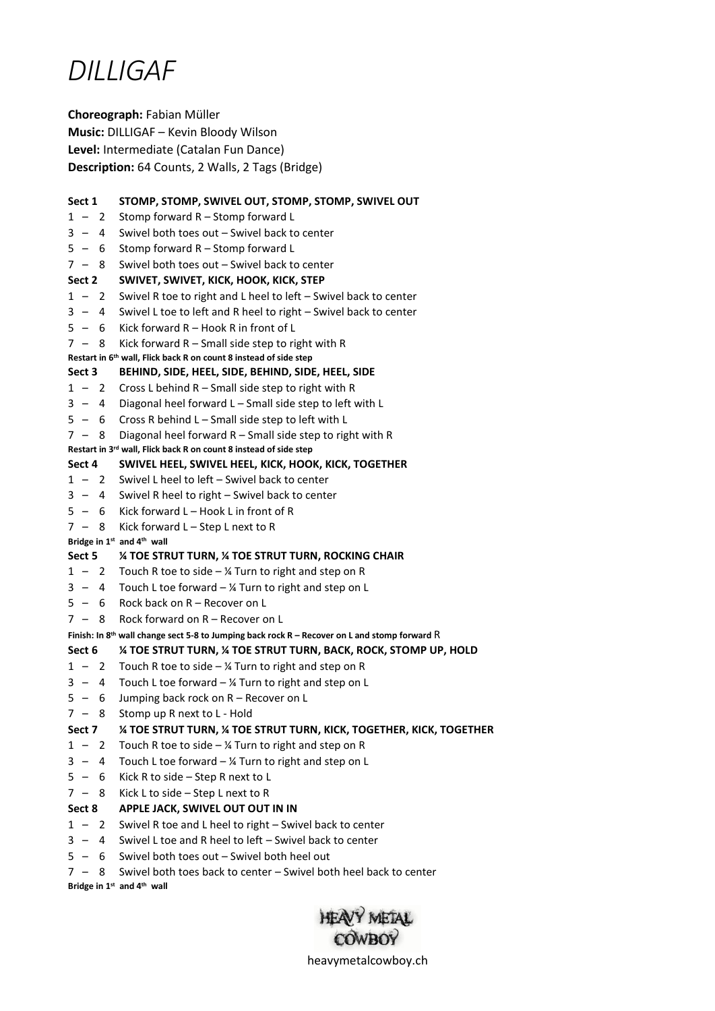# *DILLIGAF*

**Choreograph:** Fabian Müller **Music:** DILLIGAF – Kevin Bloody Wilson **Level:** Intermediate (Catalan Fun Dance) **Description:** 64 Counts, 2 Walls, 2 Tags (Bridge) **Sect 1 STOMP, STOMP, SWIVEL OUT, STOMP, STOMP, SWIVEL OUT** 1 – 2 Stomp forward R – Stomp forward L 3 – 4 Swivel both toes out – Swivel back to center 5 – 6 Stomp forward R – Stomp forward L 7 – 8 Swivel both toes out – Swivel back to center **Sect 2 SWIVET, SWIVET, KICK, HOOK, KICK, STEP** 1 – 2 Swivel R toe to right and L heel to left – Swivel back to center 3 – 4 Swivel L toe to left and R heel to right – Swivel back to center 5 – 6 Kick forward R – Hook R in front of L  $7 - 8$  Kick forward R – Small side step to right with R **Restart in 6 th wall, Flick back R on count 8 instead of side step Sect 3 BEHIND, SIDE, HEEL, SIDE, BEHIND, SIDE, HEEL, SIDE**  $1 - 2$  Cross L behind R – Small side step to right with R 3 – 4 Diagonal heel forward L – Small side step to left with L  $5 - 6$  Cross R behind L – Small side step to left with L  $7 - 8$  Diagonal heel forward R – Small side step to right with R **Restart in 3 rd wall, Flick back R on count 8 instead of side step Sect 4 SWIVEL HEEL, SWIVEL HEEL, KICK, HOOK, KICK, TOGETHER** 1 – 2 Swivel L heel to left – Swivel back to center 3 – 4 Swivel R heel to right – Swivel back to center 5 – 6 Kick forward L – Hook L in front of R  $7 - 8$  Kick forward L – Step L next to R **Bridge in 1 st and 4 th wall Sect 5 ¼ TOE STRUT TURN, ¼ TOE STRUT TURN, ROCKING CHAIR**  $1 - 2$  Touch R toe to side – ¼ Turn to right and step on R  $3 - 4$  Touch L toe forward – ¼ Turn to right and step on L 5 – 6 Rock back on R – Recover on L 7 – 8 Rock forward on R – Recover on L **Finish: In 8th wall change sect 5-8 to Jumping back rock R – Recover on L and stomp forward** R **Sect 6 ¼ TOE STRUT TURN, ¼ TOE STRUT TURN, BACK, ROCK, STOMP UP, HOLD**  $1 - 2$  Touch R toe to side  $-$  ¼ Turn to right and step on R  $3 - 4$  Touch L toe forward – ¼ Turn to right and step on L 5 – 6 Jumping back rock on R – Recover on L 7 – 8 Stomp up R next to L - Hold **Sect 7 ¼ TOE STRUT TURN, ¼ TOE STRUT TURN, KICK, TOGETHER, KICK, TOGETHER**  $1 - 2$  Touch R toe to side – ¼ Turn to right and step on R  $3 - 4$  Touch L toe forward – ¼ Turn to right and step on L 5 – 6 Kick R to side – Step R next to L 7 – 8 Kick L to side – Step L next to R **Sect 8 APPLE JACK, SWIVEL OUT OUT IN IN** 1 – 2 Swivel R toe and L heel to right – Swivel back to center 3 – 4 Swivel L toe and R heel to left – Swivel back to center 5 – 6 Swivel both toes out – Swivel both heel out 7 – 8 Swivel both toes back to center – Swivel both heel back to center **Bridge in 1 st and 4 th wall**



heavymetalcowboy.ch